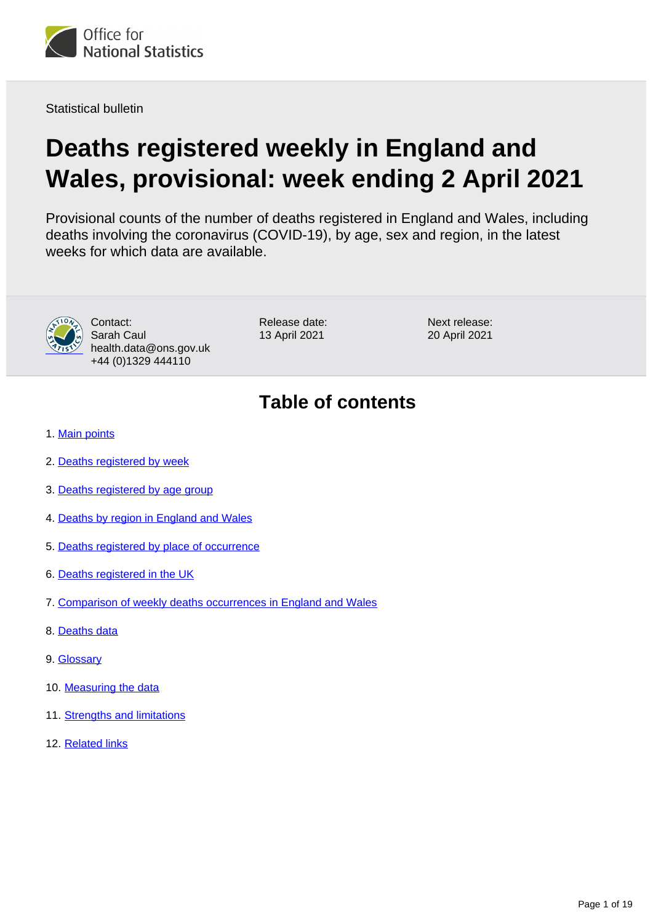

Statistical bulletin

# **Deaths registered weekly in England and Wales, provisional: week ending 2 April 2021**

Provisional counts of the number of deaths registered in England and Wales, including deaths involving the coronavirus (COVID-19), by age, sex and region, in the latest weeks for which data are available.



Contact: Sarah Caul health.data@ons.gov.uk +44 (0)1329 444110

Release date: 13 April 2021

Next release: 20 April 2021

## **Table of contents**

- 1. [Main points](#page-1-0)
- 2. [Deaths registered by week](#page-1-1)
- 3. [Deaths registered by age group](#page-5-0)
- 4. [Deaths by region in England and Wales](#page-5-1)
- 5. [Deaths registered by place of occurrence](#page-8-0)
- 6. [Deaths registered in the UK](#page-11-0)
- 7. [Comparison of weekly deaths occurrences in England and Wales](#page-12-0)
- 8. [Deaths data](#page-13-0)
- 9. [Glossary](#page-13-1)
- 10. [Measuring the data](#page-13-2)
- 11. [Strengths and limitations](#page-18-0)
- 12. [Related links](#page-18-1)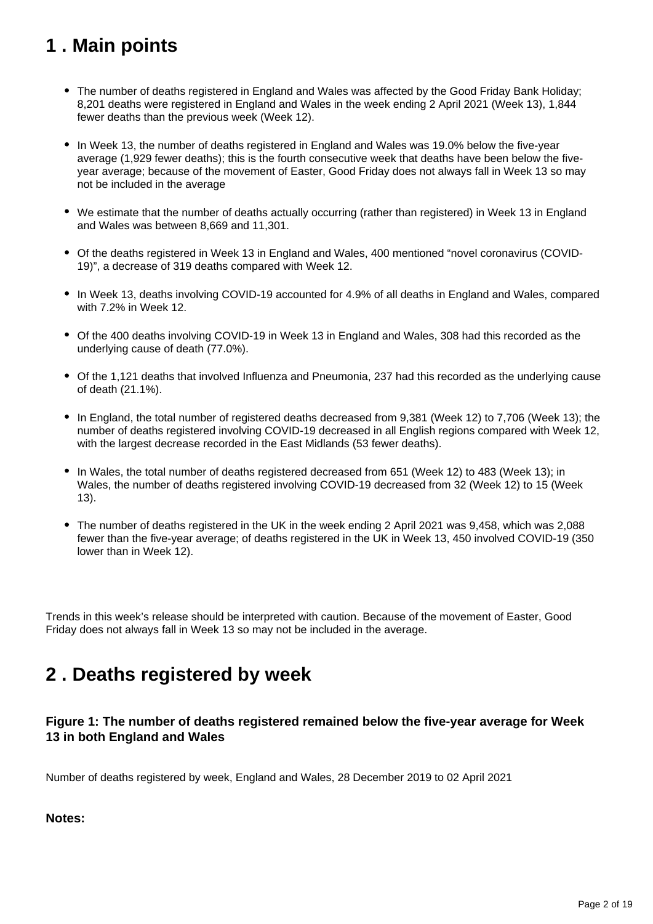## <span id="page-1-0"></span>**1 . Main points**

- The number of deaths registered in England and Wales was affected by the Good Friday Bank Holiday; 8,201 deaths were registered in England and Wales in the week ending 2 April 2021 (Week 13), 1,844 fewer deaths than the previous week (Week 12).
- In Week 13, the number of deaths registered in England and Wales was 19.0% below the five-year average (1,929 fewer deaths); this is the fourth consecutive week that deaths have been below the fiveyear average; because of the movement of Easter, Good Friday does not always fall in Week 13 so may not be included in the average
- We estimate that the number of deaths actually occurring (rather than registered) in Week 13 in England and Wales was between 8,669 and 11,301.
- Of the deaths registered in Week 13 in England and Wales, 400 mentioned "novel coronavirus (COVID-19)", a decrease of 319 deaths compared with Week 12.
- In Week 13, deaths involving COVID-19 accounted for 4.9% of all deaths in England and Wales, compared with 7.2% in Week 12.
- Of the 400 deaths involving COVID-19 in Week 13 in England and Wales, 308 had this recorded as the underlying cause of death (77.0%).
- Of the 1,121 deaths that involved Influenza and Pneumonia, 237 had this recorded as the underlying cause of death (21.1%).
- In England, the total number of registered deaths decreased from 9,381 (Week 12) to 7,706 (Week 13); the number of deaths registered involving COVID-19 decreased in all English regions compared with Week 12, with the largest decrease recorded in the East Midlands (53 fewer deaths).
- In Wales, the total number of deaths registered decreased from 651 (Week 12) to 483 (Week 13); in Wales, the number of deaths registered involving COVID-19 decreased from 32 (Week 12) to 15 (Week 13).
- The number of deaths registered in the UK in the week ending 2 April 2021 was 9,458, which was 2,088 fewer than the five-year average; of deaths registered in the UK in Week 13, 450 involved COVID-19 (350 lower than in Week 12).

Trends in this week's release should be interpreted with caution. Because of the movement of Easter, Good Friday does not always fall in Week 13 so may not be included in the average.

## <span id="page-1-1"></span>**2 . Deaths registered by week**

## **Figure 1: The number of deaths registered remained below the five-year average for Week 13 in both England and Wales**

Number of deaths registered by week, England and Wales, 28 December 2019 to 02 April 2021

## **Notes:**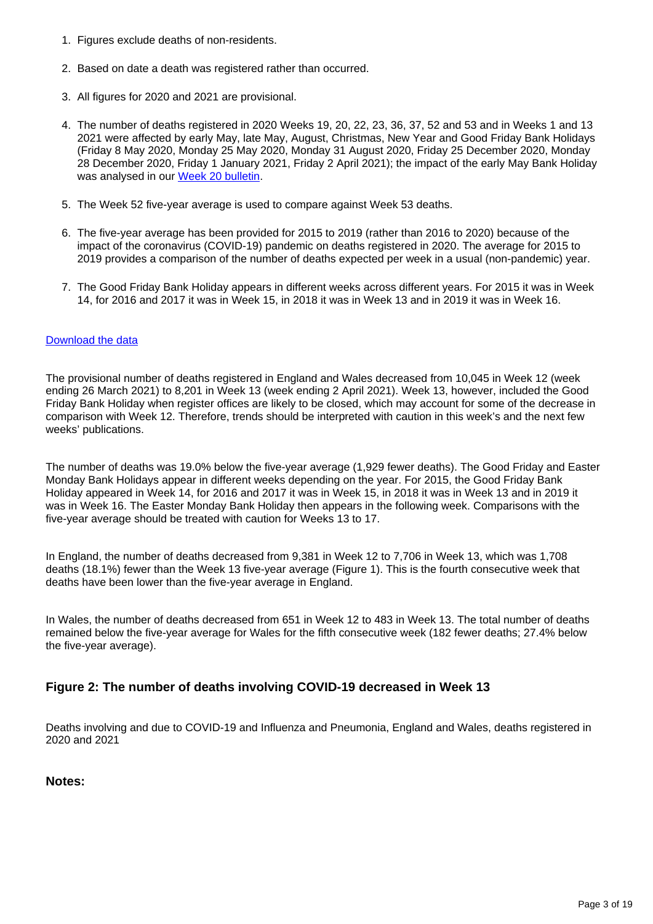- 1. Figures exclude deaths of non-residents.
- 2. Based on date a death was registered rather than occurred.
- 3. All figures for 2020 and 2021 are provisional.
- 4. The number of deaths registered in 2020 Weeks 19, 20, 22, 23, 36, 37, 52 and 53 and in Weeks 1 and 13 2021 were affected by early May, late May, August, Christmas, New Year and Good Friday Bank Holidays (Friday 8 May 2020, Monday 25 May 2020, Monday 31 August 2020, Friday 25 December 2020, Monday 28 December 2020, Friday 1 January 2021, Friday 2 April 2021); the impact of the early May Bank Holiday was analysed in our [Week 20 bulletin](https://www.ons.gov.uk/peoplepopulationandcommunity/birthsdeathsandmarriages/deaths/bulletins/deathsregisteredweeklyinenglandandwalesprovisional/weekending15may2020#deaths-registered-by-week).
- 5. The Week 52 five-year average is used to compare against Week 53 deaths.
- 6. The five-year average has been provided for 2015 to 2019 (rather than 2016 to 2020) because of the impact of the coronavirus (COVID-19) pandemic on deaths registered in 2020. The average for 2015 to 2019 provides a comparison of the number of deaths expected per week in a usual (non-pandemic) year.
- 7. The Good Friday Bank Holiday appears in different weeks across different years. For 2015 it was in Week 14, for 2016 and 2017 it was in Week 15, in 2018 it was in Week 13 and in 2019 it was in Week 16.

### [Download the data](https://www.ons.gov.uk/visualisations/dvc1293/fig1/datadownload.xlsx)

The provisional number of deaths registered in England and Wales decreased from 10,045 in Week 12 (week ending 26 March 2021) to 8,201 in Week 13 (week ending 2 April 2021). Week 13, however, included the Good Friday Bank Holiday when register offices are likely to be closed, which may account for some of the decrease in comparison with Week 12. Therefore, trends should be interpreted with caution in this week's and the next few weeks' publications.

The number of deaths was 19.0% below the five-year average (1,929 fewer deaths). The Good Friday and Easter Monday Bank Holidays appear in different weeks depending on the year. For 2015, the Good Friday Bank Holiday appeared in Week 14, for 2016 and 2017 it was in Week 15, in 2018 it was in Week 13 and in 2019 it was in Week 16. The Easter Monday Bank Holiday then appears in the following week. Comparisons with the five-year average should be treated with caution for Weeks 13 to 17.

In England, the number of deaths decreased from 9,381 in Week 12 to 7,706 in Week 13, which was 1,708 deaths (18.1%) fewer than the Week 13 five-year average (Figure 1). This is the fourth consecutive week that deaths have been lower than the five-year average in England.

In Wales, the number of deaths decreased from 651 in Week 12 to 483 in Week 13. The total number of deaths remained below the five-year average for Wales for the fifth consecutive week (182 fewer deaths; 27.4% below the five-year average).

### **Figure 2: The number of deaths involving COVID-19 decreased in Week 13**

Deaths involving and due to COVID-19 and Influenza and Pneumonia, England and Wales, deaths registered in 2020 and 2021

### **Notes:**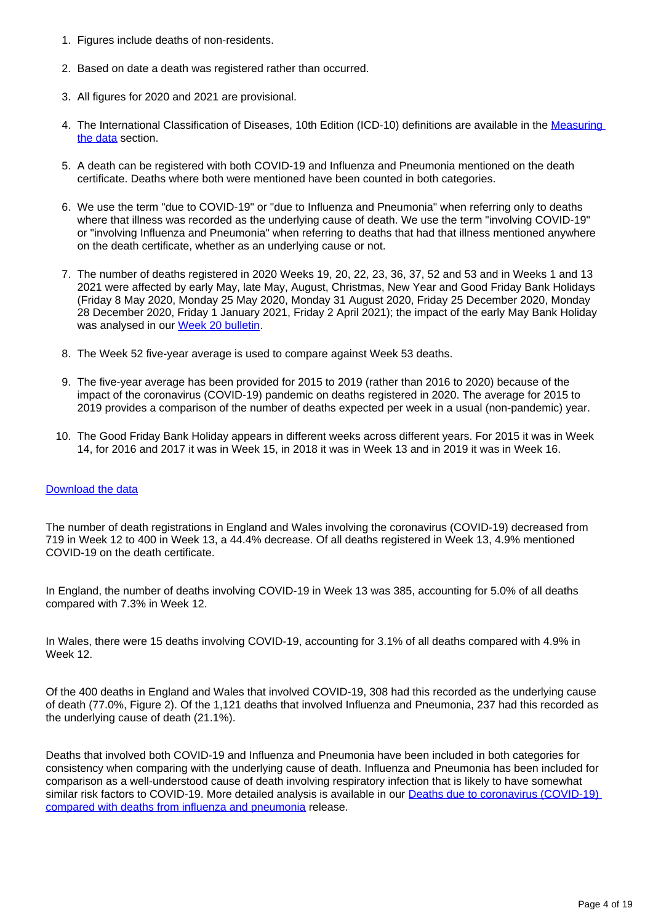- 1. Figures include deaths of non-residents.
- 2. Based on date a death was registered rather than occurred.
- 3. All figures for 2020 and 2021 are provisional.
- 4. The International Classification of Diseases, 10th Edition (ICD-10) definitions are available in the Measuring [the data](https://www.ons.gov.uk/peoplepopulationandcommunity/birthsdeathsandmarriages/deaths/bulletins/deathsregisteredweeklyinenglandandwalesprovisional/weekending2april2021#measuring-the-data) section.
- 5. A death can be registered with both COVID-19 and Influenza and Pneumonia mentioned on the death certificate. Deaths where both were mentioned have been counted in both categories.
- 6. We use the term "due to COVID-19" or "due to Influenza and Pneumonia" when referring only to deaths where that illness was recorded as the underlying cause of death. We use the term "involving COVID-19" or "involving Influenza and Pneumonia" when referring to deaths that had that illness mentioned anywhere on the death certificate, whether as an underlying cause or not.
- 7. The number of deaths registered in 2020 Weeks 19, 20, 22, 23, 36, 37, 52 and 53 and in Weeks 1 and 13 2021 were affected by early May, late May, August, Christmas, New Year and Good Friday Bank Holidays (Friday 8 May 2020, Monday 25 May 2020, Monday 31 August 2020, Friday 25 December 2020, Monday 28 December 2020, Friday 1 January 2021, Friday 2 April 2021); the impact of the early May Bank Holiday was analysed in our [Week 20 bulletin](https://www.ons.gov.uk/peoplepopulationandcommunity/birthsdeathsandmarriages/deaths/bulletins/deathsregisteredweeklyinenglandandwalesprovisional/weekending15may2020#deaths-registered-by-week).
- 8. The Week 52 five-year average is used to compare against Week 53 deaths.
- 9. The five-year average has been provided for 2015 to 2019 (rather than 2016 to 2020) because of the impact of the coronavirus (COVID-19) pandemic on deaths registered in 2020. The average for 2015 to 2019 provides a comparison of the number of deaths expected per week in a usual (non-pandemic) year.
- 10. The Good Friday Bank Holiday appears in different weeks across different years. For 2015 it was in Week 14, for 2016 and 2017 it was in Week 15, in 2018 it was in Week 13 and in 2019 it was in Week 16.

#### [Download the data](https://www.ons.gov.uk/visualisations/dvc1293/fig2/datadownload.xlsx)

The number of death registrations in England and Wales involving the coronavirus (COVID-19) decreased from 719 in Week 12 to 400 in Week 13, a 44.4% decrease. Of all deaths registered in Week 13, 4.9% mentioned COVID-19 on the death certificate.

In England, the number of deaths involving COVID-19 in Week 13 was 385, accounting for 5.0% of all deaths compared with 7.3% in Week 12.

In Wales, there were 15 deaths involving COVID-19, accounting for 3.1% of all deaths compared with 4.9% in Week 12.

Of the 400 deaths in England and Wales that involved COVID-19, 308 had this recorded as the underlying cause of death (77.0%, Figure 2). Of the 1,121 deaths that involved Influenza and Pneumonia, 237 had this recorded as the underlying cause of death (21.1%).

Deaths that involved both COVID-19 and Influenza and Pneumonia have been included in both categories for consistency when comparing with the underlying cause of death. Influenza and Pneumonia has been included for comparison as a well-understood cause of death involving respiratory infection that is likely to have somewhat similar risk factors to COVID-19. More detailed analysis is available in our Deaths due to coronavirus (COVID-19) [compared with deaths from influenza and pneumonia](https://www.ons.gov.uk/peoplepopulationandcommunity/birthsdeathsandmarriages/deaths/bulletins/deathsduetocoronaviruscovid19comparedwithdeathsfrominfluenzaandpneumoniaenglandandwales/deathsoccurringbetween1januaryand31august2020) release.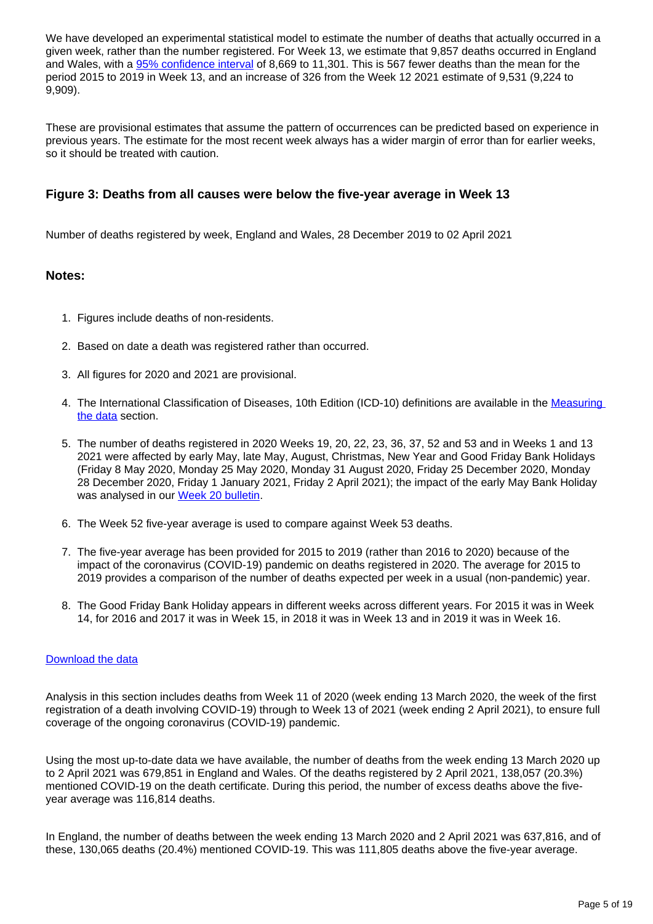We have developed an experimental statistical model to estimate the number of deaths that actually occurred in a given week, rather than the number registered. For Week 13, we estimate that 9,857 deaths occurred in England and Wales, with a [95% confidence interval](https://www.ons.gov.uk/methodology/methodologytopicsandstatisticalconcepts/uncertaintyandhowwemeasureit#confidence-interval) of 8,669 to 11,301. This is 567 fewer deaths than the mean for the period 2015 to 2019 in Week 13, and an increase of 326 from the Week 12 2021 estimate of 9,531 (9,224 to 9,909).

These are provisional estimates that assume the pattern of occurrences can be predicted based on experience in previous years. The estimate for the most recent week always has a wider margin of error than for earlier weeks, so it should be treated with caution.

## **Figure 3: Deaths from all causes were below the five-year average in Week 13**

Number of deaths registered by week, England and Wales, 28 December 2019 to 02 April 2021

### **Notes:**

- 1. Figures include deaths of non-residents.
- 2. Based on date a death was registered rather than occurred.
- 3. All figures for 2020 and 2021 are provisional.
- 4. The International Classification of Diseases, 10th Edition (ICD-10) definitions are available in the Measuring [the data](https://www.ons.gov.uk/peoplepopulationandcommunity/birthsdeathsandmarriages/deaths/bulletins/deathsregisteredweeklyinenglandandwalesprovisional/weekending2april2021#measuring-the-data) section.
- 5. The number of deaths registered in 2020 Weeks 19, 20, 22, 23, 36, 37, 52 and 53 and in Weeks 1 and 13 2021 were affected by early May, late May, August, Christmas, New Year and Good Friday Bank Holidays (Friday 8 May 2020, Monday 25 May 2020, Monday 31 August 2020, Friday 25 December 2020, Monday 28 December 2020, Friday 1 January 2021, Friday 2 April 2021); the impact of the early May Bank Holiday was analysed in our [Week 20 bulletin](https://www.ons.gov.uk/peoplepopulationandcommunity/birthsdeathsandmarriages/deaths/bulletins/deathsregisteredweeklyinenglandandwalesprovisional/weekending15may2020#deaths-registered-by-week).
- 6. The Week 52 five-year average is used to compare against Week 53 deaths.
- 7. The five-year average has been provided for 2015 to 2019 (rather than 2016 to 2020) because of the impact of the coronavirus (COVID-19) pandemic on deaths registered in 2020. The average for 2015 to 2019 provides a comparison of the number of deaths expected per week in a usual (non-pandemic) year.
- 8. The Good Friday Bank Holiday appears in different weeks across different years. For 2015 it was in Week 14, for 2016 and 2017 it was in Week 15, in 2018 it was in Week 13 and in 2019 it was in Week 16.

### [Download the data](https://www.ons.gov.uk/visualisations/dvc1293/fig3/datadownload.xlsx)

Analysis in this section includes deaths from Week 11 of 2020 (week ending 13 March 2020, the week of the first registration of a death involving COVID-19) through to Week 13 of 2021 (week ending 2 April 2021), to ensure full coverage of the ongoing coronavirus (COVID-19) pandemic.

Using the most up-to-date data we have available, the number of deaths from the week ending 13 March 2020 up to 2 April 2021 was 679,851 in England and Wales. Of the deaths registered by 2 April 2021, 138,057 (20.3%) mentioned COVID-19 on the death certificate. During this period, the number of excess deaths above the fiveyear average was 116,814 deaths.

In England, the number of deaths between the week ending 13 March 2020 and 2 April 2021 was 637,816, and of these, 130,065 deaths (20.4%) mentioned COVID-19. This was 111,805 deaths above the five-year average.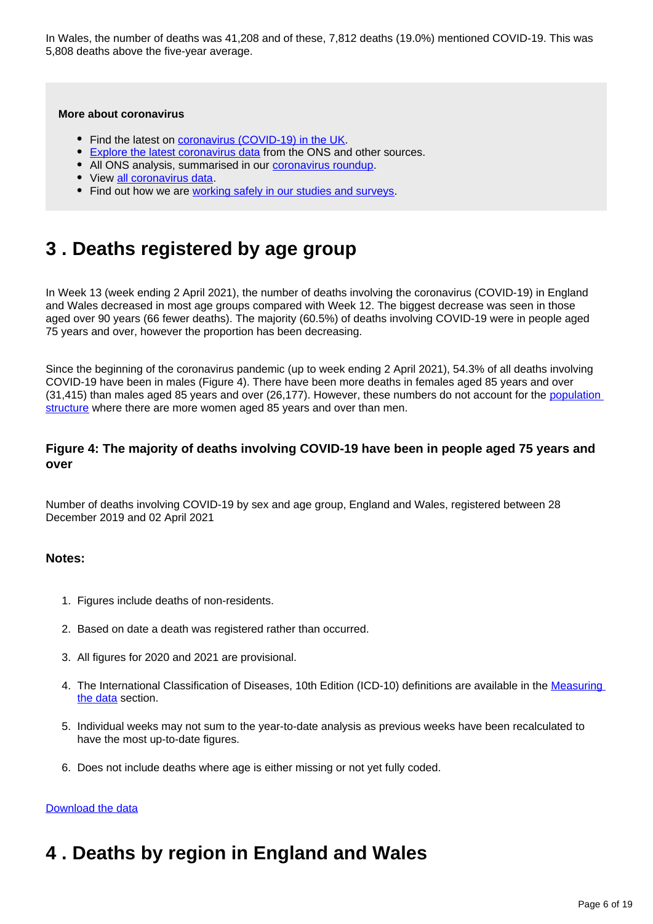In Wales, the number of deaths was 41,208 and of these, 7,812 deaths (19.0%) mentioned COVID-19. This was 5,808 deaths above the five-year average.

#### **More about coronavirus**

- Find the latest on [coronavirus \(COVID-19\) in the UK.](https://www.ons.gov.uk/peoplepopulationandcommunity/healthandsocialcare/conditionsanddiseases)
- **[Explore the latest coronavirus data](https://www.ons.gov.uk/peoplepopulationandcommunity/healthandsocialcare/conditionsanddiseases/articles/coronaviruscovid19/latestinsights) from the ONS and other sources.**
- All ONS analysis, summarised in our **coronavirus roundup**.
- View [all coronavirus data](https://www.ons.gov.uk/peoplepopulationandcommunity/healthandsocialcare/conditionsanddiseases/datalist).
- Find out how we are [working safely in our studies and surveys.](https://www.ons.gov.uk/news/statementsandletters/ensuringyoursafetyduringcovid19)

## <span id="page-5-0"></span>**3 . Deaths registered by age group**

In Week 13 (week ending 2 April 2021), the number of deaths involving the coronavirus (COVID-19) in England and Wales decreased in most age groups compared with Week 12. The biggest decrease was seen in those aged over 90 years (66 fewer deaths). The majority (60.5%) of deaths involving COVID-19 were in people aged 75 years and over, however the proportion has been decreasing.

Since the beginning of the coronavirus pandemic (up to week ending 2 April 2021), 54.3% of all deaths involving COVID-19 have been in males (Figure 4). There have been more deaths in females aged 85 years and over (31,415) than males aged 85 years and over (26,177). However, these numbers do not account for the population [structure](https://www.ons.gov.uk/peoplepopulationandcommunity/populationandmigration/populationprojections/datasets/2014basednationalpopulationprojectionstableofcontents) where there are more women aged 85 years and over than men.

### **Figure 4: The majority of deaths involving COVID-19 have been in people aged 75 years and over**

Number of deaths involving COVID-19 by sex and age group, England and Wales, registered between 28 December 2019 and 02 April 2021

### **Notes:**

- 1. Figures include deaths of non-residents.
- 2. Based on date a death was registered rather than occurred.
- 3. All figures for 2020 and 2021 are provisional.
- 4. The International Classification of Diseases, 10th Edition (ICD-10) definitions are available in the Measuring [the data](https://www.ons.gov.uk/peoplepopulationandcommunity/birthsdeathsandmarriages/deaths/bulletins/deathsregisteredweeklyinenglandandwalesprovisional/weekending2april2021#measuring-the-data) section.
- 5. Individual weeks may not sum to the year-to-date analysis as previous weeks have been recalculated to have the most up-to-date figures.
- 6. Does not include deaths where age is either missing or not yet fully coded.

#### [Download the data](https://www.ons.gov.uk/visualisations/dvc1293/fig4/datadownload.xlsx)

## <span id="page-5-1"></span>**4 . Deaths by region in England and Wales**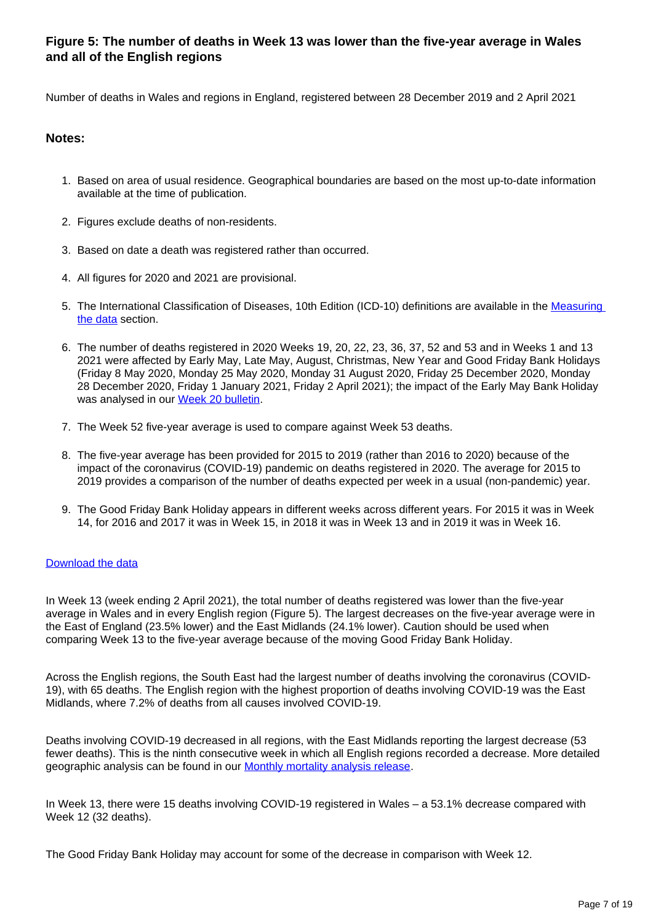## **Figure 5: The number of deaths in Week 13 was lower than the five-year average in Wales and all of the English regions**

Number of deaths in Wales and regions in England, registered between 28 December 2019 and 2 April 2021

### **Notes:**

- 1. Based on area of usual residence. Geographical boundaries are based on the most up-to-date information available at the time of publication.
- 2. Figures exclude deaths of non-residents.
- 3. Based on date a death was registered rather than occurred.
- 4. All figures for 2020 and 2021 are provisional.
- 5. The International Classification of Diseases, 10th Edition (ICD-10) definitions are available in the Measuring [the data](https://www.ons.gov.uk/peoplepopulationandcommunity/birthsdeathsandmarriages/deaths/bulletins/deathsregisteredweeklyinenglandandwalesprovisional/weekending2april2021#measuring-the-data) section.
- 6. The number of deaths registered in 2020 Weeks 19, 20, 22, 23, 36, 37, 52 and 53 and in Weeks 1 and 13 2021 were affected by Early May, Late May, August, Christmas, New Year and Good Friday Bank Holidays (Friday 8 May 2020, Monday 25 May 2020, Monday 31 August 2020, Friday 25 December 2020, Monday 28 December 2020, Friday 1 January 2021, Friday 2 April 2021); the impact of the Early May Bank Holiday was analysed in our [Week 20 bulletin](https://www.ons.gov.uk/peoplepopulationandcommunity/birthsdeathsandmarriages/deaths/bulletins/deathsregisteredweeklyinenglandandwalesprovisional/weekending15may2020#deaths-registered-by-week).
- 7. The Week 52 five-year average is used to compare against Week 53 deaths.
- 8. The five-year average has been provided for 2015 to 2019 (rather than 2016 to 2020) because of the impact of the coronavirus (COVID-19) pandemic on deaths registered in 2020. The average for 2015 to 2019 provides a comparison of the number of deaths expected per week in a usual (non-pandemic) year.
- 9. The Good Friday Bank Holiday appears in different weeks across different years. For 2015 it was in Week 14, for 2016 and 2017 it was in Week 15, in 2018 it was in Week 13 and in 2019 it was in Week 16.

#### [Download the data](https://www.ons.gov.uk/visualisations/dvc1293/fig5/datadownload.xlsx)

In Week 13 (week ending 2 April 2021), the total number of deaths registered was lower than the five-year average in Wales and in every English region (Figure 5). The largest decreases on the five-year average were in the East of England (23.5% lower) and the East Midlands (24.1% lower). Caution should be used when comparing Week 13 to the five-year average because of the moving Good Friday Bank Holiday.

Across the English regions, the South East had the largest number of deaths involving the coronavirus (COVID-19), with 65 deaths. The English region with the highest proportion of deaths involving COVID-19 was the East Midlands, where 7.2% of deaths from all causes involved COVID-19.

Deaths involving COVID-19 decreased in all regions, with the East Midlands reporting the largest decrease (53 fewer deaths). This is the ninth consecutive week in which all English regions recorded a decrease. More detailed geographic analysis can be found in our [Monthly mortality analysis release](https://www.ons.gov.uk/peoplepopulationandcommunity/birthsdeathsandmarriages/deaths/bulletins/monthlymortalityanalysisenglandandwales/latest).

In Week 13, there were 15 deaths involving COVID-19 registered in Wales – a 53.1% decrease compared with Week 12 (32 deaths).

The Good Friday Bank Holiday may account for some of the decrease in comparison with Week 12.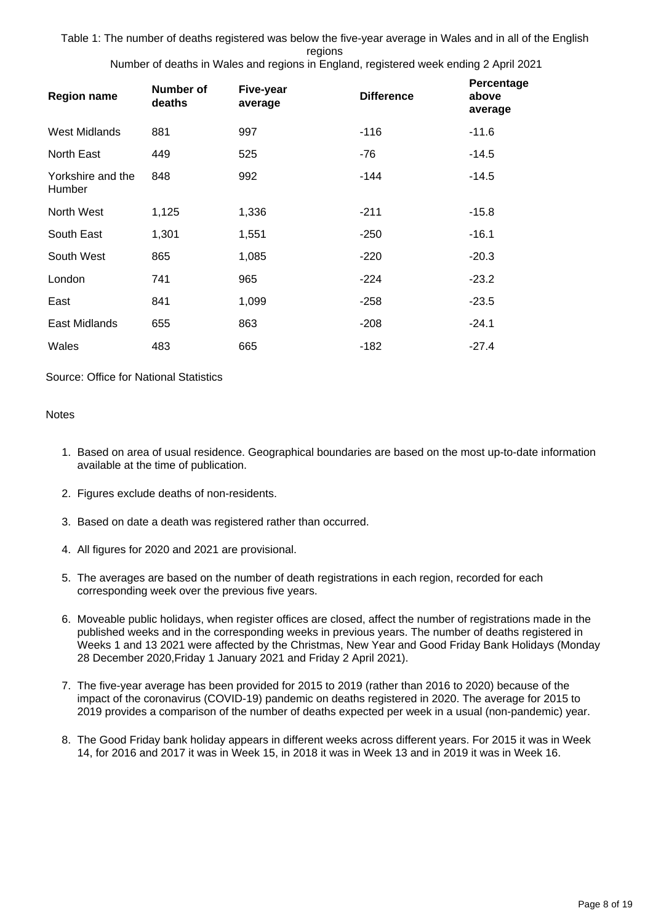Table 1: The number of deaths registered was below the five-year average in Wales and in all of the English regions

Number of deaths in Wales and regions in England, registered week ending 2 April 2021

| <b>Region name</b>          | Number of<br>deaths | Five-year<br>average | <b>Difference</b> | Percentage<br>above<br>average |
|-----------------------------|---------------------|----------------------|-------------------|--------------------------------|
| West Midlands               | 881                 | 997                  | $-116$            | $-11.6$                        |
| North East                  | 449                 | 525                  | -76               | $-14.5$                        |
| Yorkshire and the<br>Humber | 848                 | 992                  | -144              | $-14.5$                        |
| North West                  | 1,125               | 1,336                | $-211$            | $-15.8$                        |
| South East                  | 1,301               | 1,551                | $-250$            | $-16.1$                        |
| South West                  | 865                 | 1,085                | $-220$            | $-20.3$                        |
| London                      | 741                 | 965                  | $-224$            | $-23.2$                        |
| East                        | 841                 | 1,099                | $-258$            | $-23.5$                        |
| East Midlands               | 655                 | 863                  | $-208$            | $-24.1$                        |
| Wales                       | 483                 | 665                  | $-182$            | $-27.4$                        |

### Source: Office for National Statistics

#### **Notes**

- 1. Based on area of usual residence. Geographical boundaries are based on the most up-to-date information available at the time of publication.
- 2. Figures exclude deaths of non-residents.
- 3. Based on date a death was registered rather than occurred.
- 4. All figures for 2020 and 2021 are provisional.
- 5. The averages are based on the number of death registrations in each region, recorded for each corresponding week over the previous five years.
- 6. Moveable public holidays, when register offices are closed, affect the number of registrations made in the published weeks and in the corresponding weeks in previous years. The number of deaths registered in Weeks 1 and 13 2021 were affected by the Christmas, New Year and Good Friday Bank Holidays (Monday 28 December 2020,Friday 1 January 2021 and Friday 2 April 2021).
- 7. The five-year average has been provided for 2015 to 2019 (rather than 2016 to 2020) because of the impact of the coronavirus (COVID-19) pandemic on deaths registered in 2020. The average for 2015 to 2019 provides a comparison of the number of deaths expected per week in a usual (non-pandemic) year.
- 8. The Good Friday bank holiday appears in different weeks across different years. For 2015 it was in Week 14, for 2016 and 2017 it was in Week 15, in 2018 it was in Week 13 and in 2019 it was in Week 16.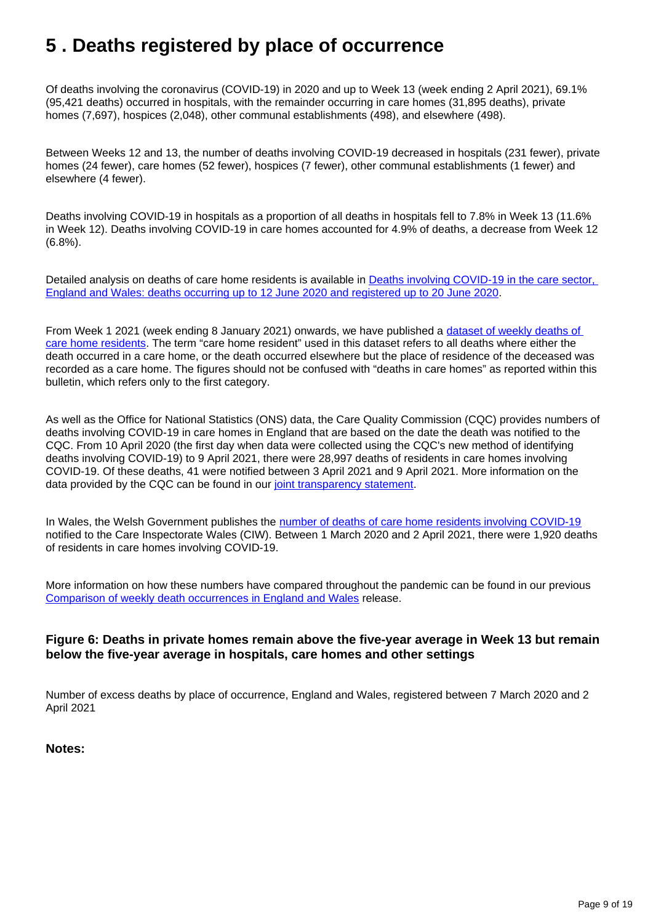## <span id="page-8-0"></span>**5 . Deaths registered by place of occurrence**

Of deaths involving the coronavirus (COVID-19) in 2020 and up to Week 13 (week ending 2 April 2021), 69.1% (95,421 deaths) occurred in hospitals, with the remainder occurring in care homes (31,895 deaths), private homes (7,697), hospices (2,048), other communal establishments (498), and elsewhere (498).

Between Weeks 12 and 13, the number of deaths involving COVID-19 decreased in hospitals (231 fewer), private homes (24 fewer), care homes (52 fewer), hospices (7 fewer), other communal establishments (1 fewer) and elsewhere (4 fewer).

Deaths involving COVID-19 in hospitals as a proportion of all deaths in hospitals fell to 7.8% in Week 13 (11.6% in Week 12). Deaths involving COVID-19 in care homes accounted for 4.9% of deaths, a decrease from Week 12 (6.8%).

Detailed analysis on deaths of care home residents is available in Deaths involving COVID-19 in the care sector, [England and Wales: deaths occurring up to 12 June 2020 and registered up to 20 June 2020.](https://www.ons.gov.uk/releases/deathsinvolvingcovid19inthecaresectorenglandandwalesdeathsoccurringupto12june2020andregisteredupto20june2020provisional)

From Week 1 2021 (week ending 8 January 2021) onwards, we have published a dataset of weekly deaths of [care home residents](https://www.ons.gov.uk/peoplepopulationandcommunity/birthsdeathsandmarriages/deaths/datasets/carehomeresidentdeathsregisteredinenglandandwalesprovisional). The term "care home resident" used in this dataset refers to all deaths where either the death occurred in a care home, or the death occurred elsewhere but the place of residence of the deceased was recorded as a care home. The figures should not be confused with "deaths in care homes" as reported within this bulletin, which refers only to the first category.

As well as the Office for National Statistics (ONS) data, the Care Quality Commission (CQC) provides numbers of deaths involving COVID-19 in care homes in England that are based on the date the death was notified to the CQC. From 10 April 2020 (the first day when data were collected using the CQC's new method of identifying deaths involving COVID-19) to 9 April 2021, there were 28,997 deaths of residents in care homes involving COVID-19. Of these deaths, 41 were notified between 3 April 2021 and 9 April 2021. More information on the data provided by the CQC can be found in our [joint transparency statement](https://www.ons.gov.uk/news/statementsandletters/publicationofstatisticsondeathsinvolvingcovid19incarehomesinenglandtransparencystatement).

In Wales, the Welsh Government publishes the [number of deaths of care home residents involving COVID-19](https://gov.wales/notifications-deaths-residents-related-covid-19-adult-care-homes) notified to the Care Inspectorate Wales (CIW). Between 1 March 2020 and 2 April 2021, there were 1,920 deaths of residents in care homes involving COVID-19.

More information on how these numbers have compared throughout the pandemic can be found in our previous [Comparison of weekly death occurrences in England and Wales](https://www.ons.gov.uk/peoplepopulationandcommunity/healthandsocialcare/causesofdeath/articles/comparisonofweeklydeathoccurrencesinenglandandwales/previousReleases) release.

## **Figure 6: Deaths in private homes remain above the five-year average in Week 13 but remain below the five-year average in hospitals, care homes and other settings**

Number of excess deaths by place of occurrence, England and Wales, registered between 7 March 2020 and 2 April 2021

### **Notes:**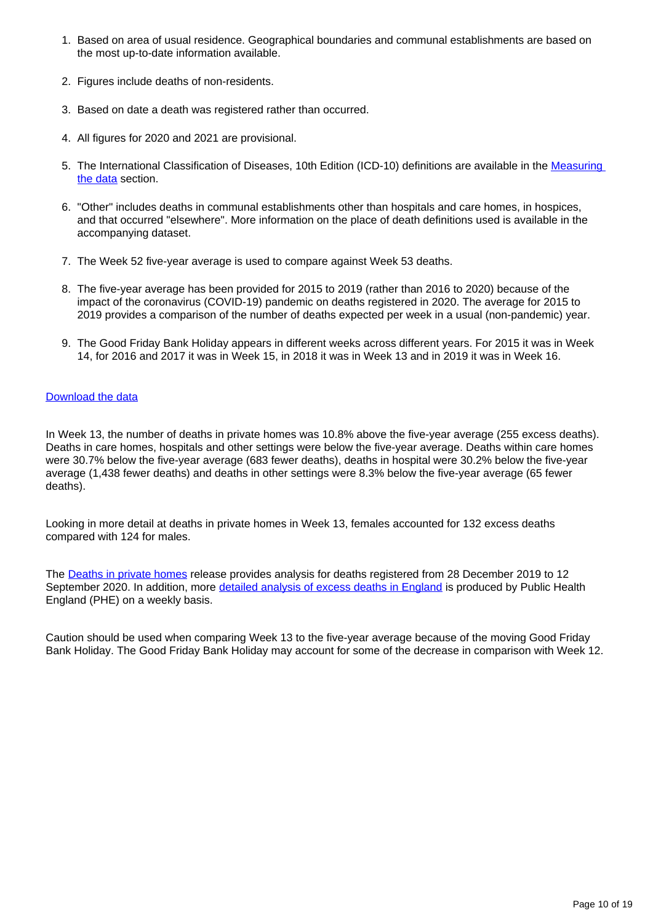- 1. Based on area of usual residence. Geographical boundaries and communal establishments are based on the most up-to-date information available.
- 2. Figures include deaths of non-residents.
- 3. Based on date a death was registered rather than occurred.
- 4. All figures for 2020 and 2021 are provisional.
- 5. The International Classification of Diseases, 10th Edition (ICD-10) definitions are available in the Measuring [the data](https://www.ons.gov.uk/peoplepopulationandcommunity/birthsdeathsandmarriages/deaths/bulletins/deathsregisteredweeklyinenglandandwalesprovisional/weekending2april2021#measuring-the-data) section.
- 6. "Other" includes deaths in communal establishments other than hospitals and care homes, in hospices, and that occurred "elsewhere". More information on the place of death definitions used is available in the accompanying dataset.
- 7. The Week 52 five-year average is used to compare against Week 53 deaths.
- 8. The five-year average has been provided for 2015 to 2019 (rather than 2016 to 2020) because of the impact of the coronavirus (COVID-19) pandemic on deaths registered in 2020. The average for 2015 to 2019 provides a comparison of the number of deaths expected per week in a usual (non-pandemic) year.
- 9. The Good Friday Bank Holiday appears in different weeks across different years. For 2015 it was in Week 14, for 2016 and 2017 it was in Week 15, in 2018 it was in Week 13 and in 2019 it was in Week 16.

### [Download the data](https://www.ons.gov.uk/visualisations/dvc1293/fig6/datadownload.xlsx)

In Week 13, the number of deaths in private homes was 10.8% above the five-year average (255 excess deaths). Deaths in care homes, hospitals and other settings were below the five-year average. Deaths within care homes were 30.7% below the five-year average (683 fewer deaths), deaths in hospital were 30.2% below the five-year average (1,438 fewer deaths) and deaths in other settings were 8.3% below the five-year average (65 fewer deaths).

Looking in more detail at deaths in private homes in Week 13, females accounted for 132 excess deaths compared with 124 for males.

The [Deaths in private homes](https://www.ons.gov.uk/peoplepopulationandcommunity/birthsdeathsandmarriages/deaths/articles/deathsinprivatehomesenglandandwalesprovisional/deathsregisteredfrom28december2019to11september2020) release provides analysis for deaths registered from 28 December 2019 to 12 September 2020. In addition, more [detailed analysis of excess deaths in England](https://www.gov.uk/government/publications/excess-mortality-in-england-weekly-reports) is produced by Public Health England (PHE) on a weekly basis.

Caution should be used when comparing Week 13 to the five-year average because of the moving Good Friday Bank Holiday. The Good Friday Bank Holiday may account for some of the decrease in comparison with Week 12.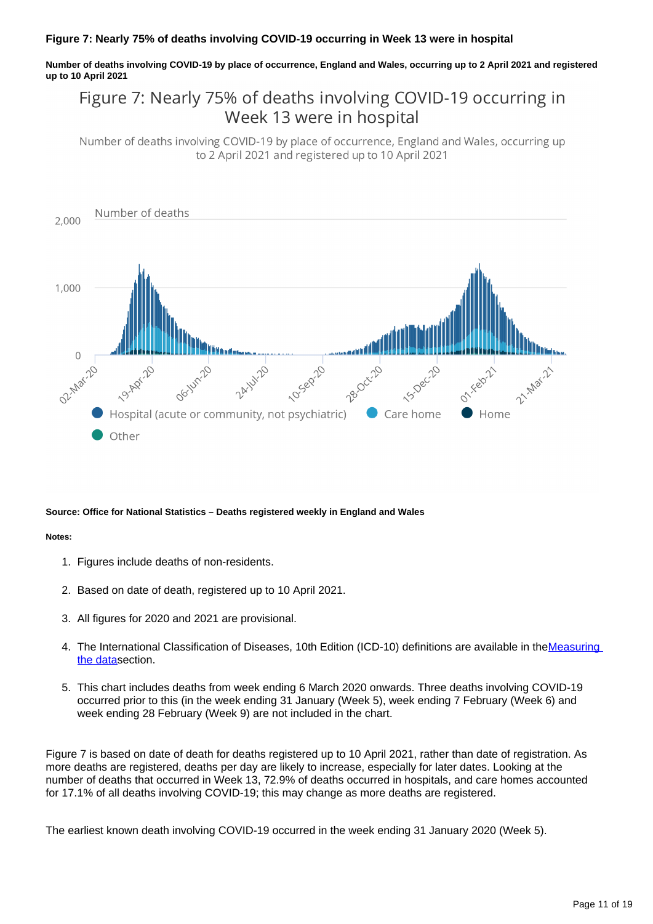### **Figure 7: Nearly 75% of deaths involving COVID-19 occurring in Week 13 were in hospital**

**Number of deaths involving COVID-19 by place of occurrence, England and Wales, occurring up to 2 April 2021 and registered up to 10 April 2021**

## Figure 7: Nearly 75% of deaths involving COVID-19 occurring in Week 13 were in hospital

Number of deaths involving COVID-19 by place of occurrence, England and Wales, occurring up to 2 April 2021 and registered up to 10 April 2021



#### **Source: Office for National Statistics – Deaths registered weekly in England and Wales**

#### **Notes:**

- 1. Figures include deaths of non-residents.
- 2. Based on date of death, registered up to 10 April 2021.
- 3. All figures for 2020 and 2021 are provisional.
- 4. The International Classification of Diseases, 10th Edition (ICD-10) definitions are available in theMeasuring [the data](https://www.ons.gov.uk/peoplepopulationandcommunity/birthsdeathsandmarriages/deaths/bulletins/deathsregisteredweeklyinenglandandwalesprovisional/weekending2april2021#measuring-the-data)section.
- 5. This chart includes deaths from week ending 6 March 2020 onwards. Three deaths involving COVID-19 occurred prior to this (in the week ending 31 January (Week 5), week ending 7 February (Week 6) and week ending 28 February (Week 9) are not included in the chart.

Figure 7 is based on date of death for deaths registered up to 10 April 2021, rather than date of registration. As more deaths are registered, deaths per day are likely to increase, especially for later dates. Looking at the number of deaths that occurred in Week 13, 72.9% of deaths occurred in hospitals, and care homes accounted for 17.1% of all deaths involving COVID-19; this may change as more deaths are registered.

The earliest known death involving COVID-19 occurred in the week ending 31 January 2020 (Week 5).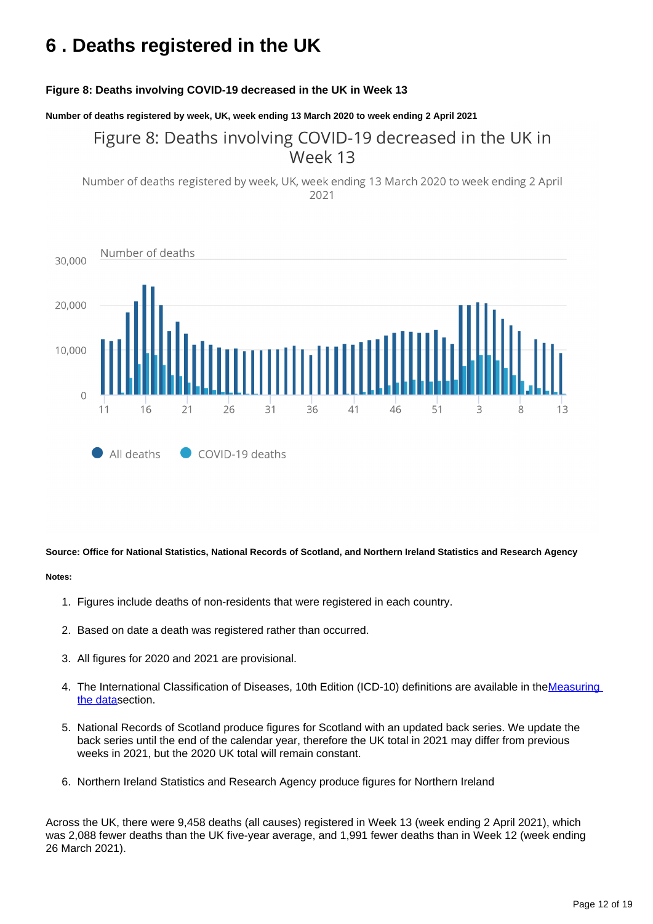## <span id="page-11-0"></span>**6 . Deaths registered in the UK**

### **Figure 8: Deaths involving COVID-19 decreased in the UK in Week 13**

**Number of deaths registered by week, UK, week ending 13 March 2020 to week ending 2 April 2021**

## Figure 8: Deaths involving COVID-19 decreased in the UK in Week 13

Number of deaths registered by week, UK, week ending 13 March 2020 to week ending 2 April 2021



**Source: Office for National Statistics, National Records of Scotland, and Northern Ireland Statistics and Research Agency**

#### **Notes:**

- 1. Figures include deaths of non-residents that were registered in each country.
- 2. Based on date a death was registered rather than occurred.
- 3. All figures for 2020 and 2021 are provisional.
- 4. The International Classification of Diseases, 10th Edition (ICD-10) definitions are available in the Measuring [the data](https://www.ons.gov.uk/peoplepopulationandcommunity/birthsdeathsandmarriages/deaths/bulletins/deathsregisteredweeklyinenglandandwalesprovisional/weekending2april2021#measuring-the-data)section.
- 5. National Records of Scotland produce figures for Scotland with an updated back series. We update the back series until the end of the calendar year, therefore the UK total in 2021 may differ from previous weeks in 2021, but the 2020 UK total will remain constant.
- 6. Northern Ireland Statistics and Research Agency produce figures for Northern Ireland

Across the UK, there were 9,458 deaths (all causes) registered in Week 13 (week ending 2 April 2021), which was 2,088 fewer deaths than the UK five-year average, and 1,991 fewer deaths than in Week 12 (week ending 26 March 2021).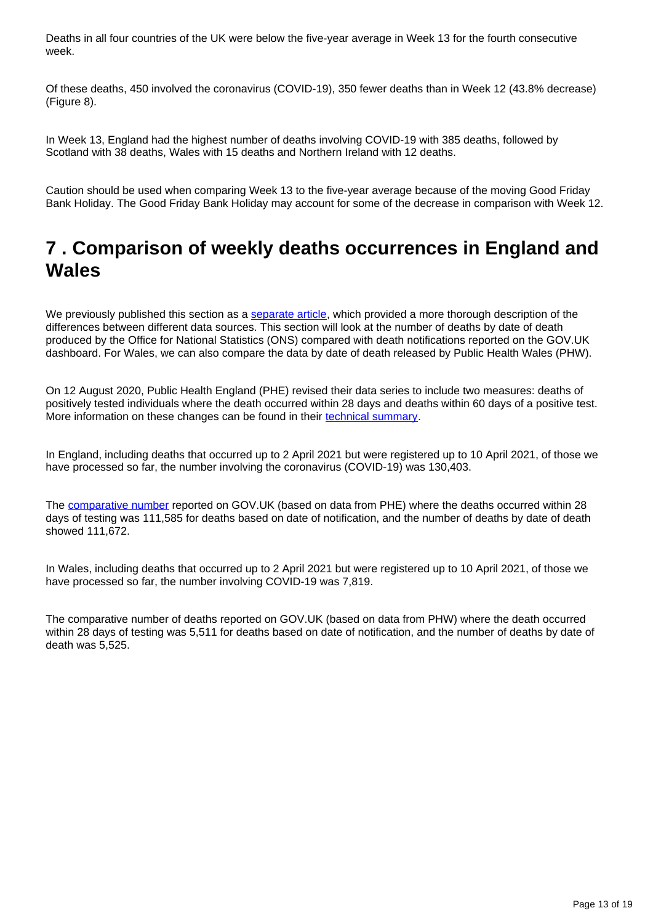Deaths in all four countries of the UK were below the five-year average in Week 13 for the fourth consecutive week.

Of these deaths, 450 involved the coronavirus (COVID-19), 350 fewer deaths than in Week 12 (43.8% decrease) (Figure 8).

In Week 13, England had the highest number of deaths involving COVID-19 with 385 deaths, followed by Scotland with 38 deaths, Wales with 15 deaths and Northern Ireland with 12 deaths.

Caution should be used when comparing Week 13 to the five-year average because of the moving Good Friday Bank Holiday. The Good Friday Bank Holiday may account for some of the decrease in comparison with Week 12.

## <span id="page-12-0"></span>**7 . Comparison of weekly deaths occurrences in England and Wales**

We previously published this section as a [separate article](https://www.ons.gov.uk/peoplepopulationandcommunity/healthandsocialcare/causesofdeath/articles/comparisonofweeklydeathoccurrencesinenglandandwales/previousReleases), which provided a more thorough description of the differences between different data sources. This section will look at the number of deaths by date of death produced by the Office for National Statistics (ONS) compared with death notifications reported on the GOV.UK dashboard. For Wales, we can also compare the data by date of death released by Public Health Wales (PHW).

On 12 August 2020, Public Health England (PHE) revised their data series to include two measures: deaths of positively tested individuals where the death occurred within 28 days and deaths within 60 days of a positive test. More information on these changes can be found in their [technical summary](https://www.gov.uk/government/publications/phe-data-series-on-deaths-in-people-with-covid-19-technical-summary).

In England, including deaths that occurred up to 2 April 2021 but were registered up to 10 April 2021, of those we have processed so far, the number involving the coronavirus (COVID-19) was 130,403.

The [comparative number](https://coronavirus.data.gov.uk/details/deaths) reported on GOV.UK (based on data from PHE) where the deaths occurred within 28 days of testing was 111,585 for deaths based on date of notification, and the number of deaths by date of death showed 111,672.

In Wales, including deaths that occurred up to 2 April 2021 but were registered up to 10 April 2021, of those we have processed so far, the number involving COVID-19 was 7,819.

The comparative number of deaths reported on GOV.UK (based on data from PHW) where the death occurred within 28 days of testing was 5,511 for deaths based on date of notification, and the number of deaths by date of death was 5,525.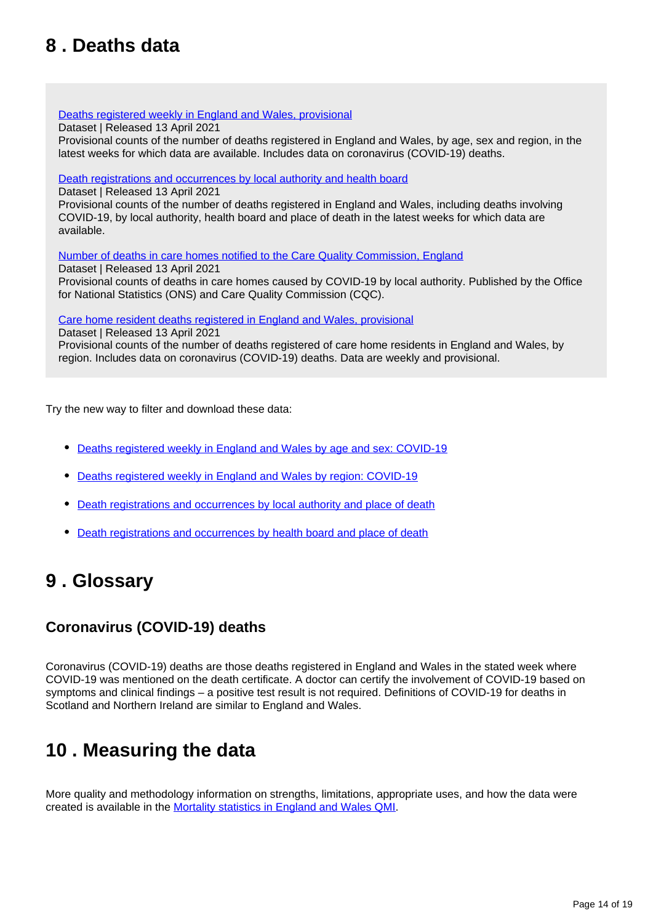## <span id="page-13-0"></span>**8 . Deaths data**

[Deaths registered weekly in England and Wales, provisional](https://www.ons.gov.uk/peoplepopulationandcommunity/birthsdeathsandmarriages/deaths/datasets/weeklyprovisionalfiguresondeathsregisteredinenglandandwales)

Dataset | Released 13 April 2021

Provisional counts of the number of deaths registered in England and Wales, by age, sex and region, in the latest weeks for which data are available. Includes data on coronavirus (COVID-19) deaths.

### [Death registrations and occurrences by local authority and health board](https://www.ons.gov.uk/peoplepopulationandcommunity/healthandsocialcare/causesofdeath/datasets/deathregistrationsandoccurrencesbylocalauthorityandhealthboard)

Dataset | Released 13 April 2021 Provisional counts of the number of deaths registered in England and Wales, including deaths involving COVID-19, by local authority, health board and place of death in the latest weeks for which data are available.

[Number of deaths in care homes notified to the Care Quality Commission, England](https://www.ons.gov.uk/peoplepopulationandcommunity/birthsdeathsandmarriages/deaths/datasets/numberofdeathsincarehomesnotifiedtothecarequalitycommissionengland)

Dataset | Released 13 April 2021 Provisional counts of deaths in care homes caused by COVID-19 by local authority. Published by the Office for National Statistics (ONS) and Care Quality Commission (CQC).

[Care home resident deaths registered in England and Wales, provisional](https://www.ons.gov.uk/peoplepopulationandcommunity/birthsdeathsandmarriages/deaths/datasets/carehomeresidentdeathsregisteredinenglandandwalesprovisional)

Dataset | Released 13 April 2021 Provisional counts of the number of deaths registered of care home residents in England and Wales, by region. Includes data on coronavirus (COVID-19) deaths. Data are weekly and provisional.

Try the new way to filter and download these data:

- [Deaths registered weekly in England and Wales by age and sex: COVID-19](https://www.ons.gov.uk/datasets/weekly-deaths-age-sex?%3Auri=weekly-deaths-age-sex%2F)
- [Deaths registered weekly in England and Wales by region: COVID-19](https://www.ons.gov.uk/datasets/weekly-deaths-region/)
- [Death registrations and occurrences by local authority and place of death](https://www.ons.gov.uk/datasets/weekly-deaths-local-authority/)
- [Death registrations and occurrences by health board and place of death](https://www.ons.gov.uk/datasets/weekly-deaths-health-board/editions/time-series/versions/)

## <span id="page-13-1"></span>**9 . Glossary**

## **Coronavirus (COVID-19) deaths**

Coronavirus (COVID-19) deaths are those deaths registered in England and Wales in the stated week where COVID-19 was mentioned on the death certificate. A doctor can certify the involvement of COVID-19 based on symptoms and clinical findings – a positive test result is not required. Definitions of COVID-19 for deaths in Scotland and Northern Ireland are similar to England and Wales.

## <span id="page-13-2"></span>**10 . Measuring the data**

More quality and methodology information on strengths, limitations, appropriate uses, and how the data were created is available in the [Mortality statistics in England and Wales QMI.](https://www.ons.gov.uk/peoplepopulationandcommunity/birthsdeathsandmarriages/deaths/methodologies/mortalitystatisticsinenglandandwalesqmi)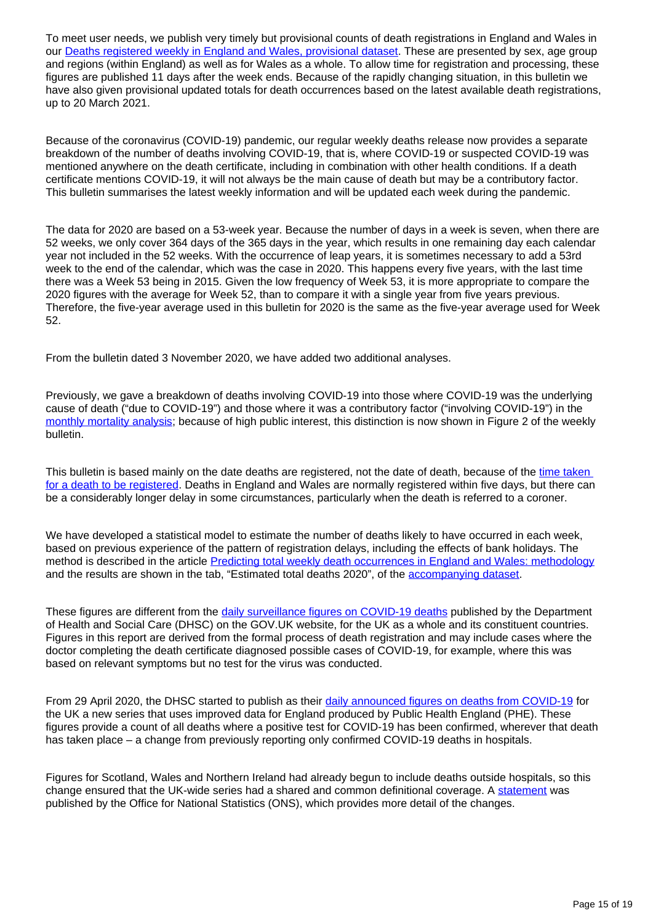To meet user needs, we publish very timely but provisional counts of death registrations in England and Wales in our [Deaths registered weekly in England and Wales, provisional dataset](https://www.ons.gov.uk/peoplepopulationandcommunity/birthsdeathsandmarriages/deaths/datasets/weeklyprovisionalfiguresondeathsregisteredinenglandandwales). These are presented by sex, age group and regions (within England) as well as for Wales as a whole. To allow time for registration and processing, these figures are published 11 days after the week ends. Because of the rapidly changing situation, in this bulletin we have also given provisional updated totals for death occurrences based on the latest available death registrations, up to 20 March 2021.

Because of the coronavirus (COVID-19) pandemic, our regular weekly deaths release now provides a separate breakdown of the number of deaths involving COVID-19, that is, where COVID-19 or suspected COVID-19 was mentioned anywhere on the death certificate, including in combination with other health conditions. If a death certificate mentions COVID-19, it will not always be the main cause of death but may be a contributory factor. This bulletin summarises the latest weekly information and will be updated each week during the pandemic.

The data for 2020 are based on a 53-week year. Because the number of days in a week is seven, when there are 52 weeks, we only cover 364 days of the 365 days in the year, which results in one remaining day each calendar year not included in the 52 weeks. With the occurrence of leap years, it is sometimes necessary to add a 53rd week to the end of the calendar, which was the case in 2020. This happens every five years, with the last time there was a Week 53 being in 2015. Given the low frequency of Week 53, it is more appropriate to compare the 2020 figures with the average for Week 52, than to compare it with a single year from five years previous. Therefore, the five-year average used in this bulletin for 2020 is the same as the five-year average used for Week 52.

From the bulletin dated 3 November 2020, we have added two additional analyses.

Previously, we gave a breakdown of deaths involving COVID-19 into those where COVID-19 was the underlying cause of death ("due to COVID-19") and those where it was a contributory factor ("involving COVID-19") in the [monthly mortality analysis](https://www.ons.gov.uk/peoplepopulationandcommunity/birthsdeathsandmarriages/deaths/bulletins/monthlymortalityanalysisenglandandwales/latest); because of high public interest, this distinction is now shown in Figure 2 of the weekly bulletin.

This bulletin is based mainly on the date deaths are registered, not the date of death, because of the time taken [for a death to be registered.](http://www.ons.gov.uk/peoplepopulationandcommunity/birthsdeathsandmarriages/deaths/articles/impactofregistrationdelaysonmortalitystatisticsinenglandandwales/2019) Deaths in England and Wales are normally registered within five days, but there can be a considerably longer delay in some circumstances, particularly when the death is referred to a coroner.

We have developed a statistical model to estimate the number of deaths likely to have occurred in each week, based on previous experience of the pattern of registration delays, including the effects of bank holidays. The method is described in the article **[Predicting total weekly death occurrences in England and Wales: methodology](https://www.ons.gov.uk/peoplepopulationandcommunity/birthsdeathsandmarriages/deaths/methodologies/predictingtotalweeklydeathoccurrencesinenglandandwalesmethodology)** and the results are shown in the tab, "Estimated total deaths 2020", of the [accompanying dataset.](https://www.ons.gov.uk/peoplepopulationandcommunity/birthsdeathsandmarriages/deaths/datasets/weeklyprovisionalfiguresondeathsregisteredinenglandandwales)

These figures are different from the [daily surveillance figures on COVID-19 deaths](https://coronavirus.data.gov.uk/details/deaths) published by the Department of Health and Social Care (DHSC) on the GOV.UK website, for the UK as a whole and its constituent countries. Figures in this report are derived from the formal process of death registration and may include cases where the doctor completing the death certificate diagnosed possible cases of COVID-19, for example, where this was based on relevant symptoms but no test for the virus was conducted.

From 29 April 2020, the DHSC started to publish as their [daily announced figures on deaths from COVID-19](https://coronavirus.data.gov.uk/details/deaths) for the UK a new series that uses improved data for England produced by Public Health England (PHE). These figures provide a count of all deaths where a positive test for COVID-19 has been confirmed, wherever that death has taken place – a change from previously reporting only confirmed COVID-19 deaths in hospitals.

Figures for Scotland, Wales and Northern Ireland had already begun to include deaths outside hospitals, so this change ensured that the UK-wide series had a shared and common definitional coverage. A [statement](https://www.ons.gov.uk/news/statementsandletters/thedifferentusesoffiguresondeathsfromcovid19publishedbydhscandtheons) was published by the Office for National Statistics (ONS), which provides more detail of the changes.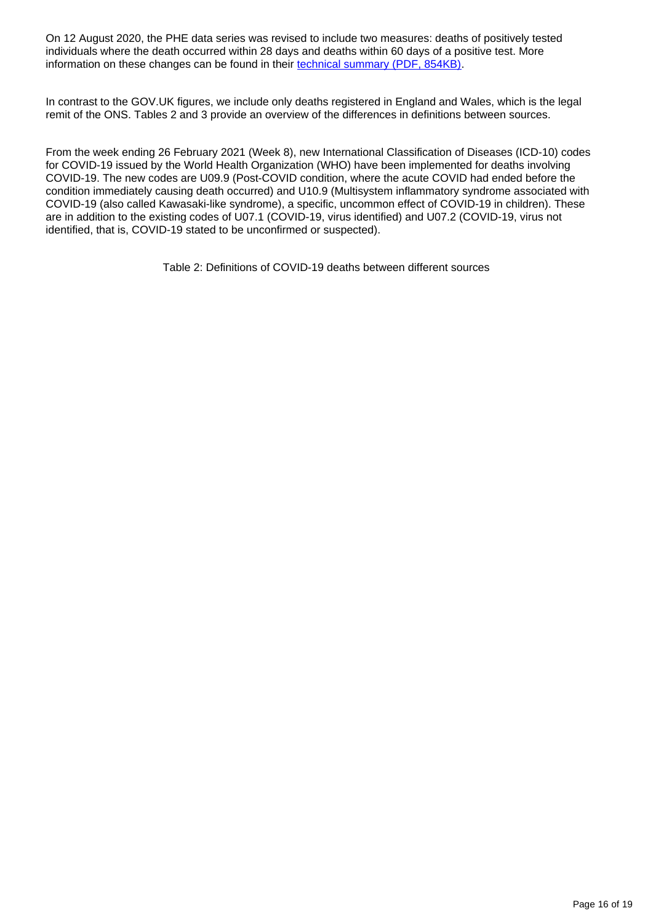On 12 August 2020, the PHE data series was revised to include two measures: deaths of positively tested individuals where the death occurred within 28 days and deaths within 60 days of a positive test. More information on these changes can be found in their [technical summary \(PDF, 854KB\).](https://assets.publishing.service.gov.uk/government/uploads/system/uploads/attachment_data/file/908781/Technical_Summary_PHE_Data_Series_COVID-19_Deaths_20200812.pdf)

In contrast to the GOV.UK figures, we include only deaths registered in England and Wales, which is the legal remit of the ONS. Tables 2 and 3 provide an overview of the differences in definitions between sources.

From the week ending 26 February 2021 (Week 8), new International Classification of Diseases (ICD-10) codes for COVID-19 issued by the World Health Organization (WHO) have been implemented for deaths involving COVID-19. The new codes are U09.9 (Post-COVID condition, where the acute COVID had ended before the condition immediately causing death occurred) and U10.9 (Multisystem inflammatory syndrome associated with COVID-19 (also called Kawasaki-like syndrome), a specific, uncommon effect of COVID-19 in children). These are in addition to the existing codes of U07.1 (COVID-19, virus identified) and U07.2 (COVID-19, virus not identified, that is, COVID-19 stated to be unconfirmed or suspected).

Table 2: Definitions of COVID-19 deaths between different sources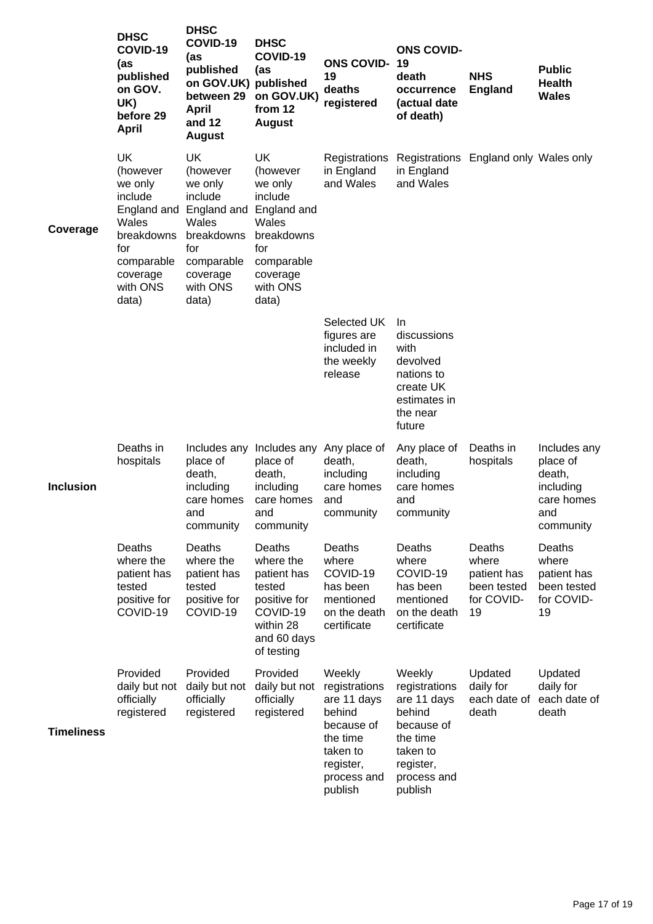|                   | <b>DHSC</b><br>COVID-19<br>(as<br>published<br>on GOV.<br>UK)<br>before 29<br>April                                                     | <b>DHSC</b><br>COVID-19<br>(as<br>published<br>on GOV.UK) published<br>between 29<br>April<br>and 12<br><b>August</b>                        | <b>DHSC</b><br>COVID-19<br>(as<br>on GOV.UK)<br>from 12<br><b>August</b>                                                 | <b>ONS COVID-</b><br>19<br>deaths<br>registered                                                                               | <b>ONS COVID-</b><br>19<br>death<br>occurrence<br>(actual date<br>of death)                                                   | <b>NHS</b><br><b>England</b>                                      | <b>Public</b><br><b>Health</b><br><b>Wales</b>                                    |
|-------------------|-----------------------------------------------------------------------------------------------------------------------------------------|----------------------------------------------------------------------------------------------------------------------------------------------|--------------------------------------------------------------------------------------------------------------------------|-------------------------------------------------------------------------------------------------------------------------------|-------------------------------------------------------------------------------------------------------------------------------|-------------------------------------------------------------------|-----------------------------------------------------------------------------------|
| Coverage          | <b>UK</b><br>(however<br>we only<br>include<br>England and<br>Wales<br>breakdowns<br>for<br>comparable<br>coverage<br>with ONS<br>data) | UK<br>(however<br>we only<br>include<br>England and England and<br>Wales<br>breakdowns<br>for<br>comparable<br>coverage<br>with ONS<br>data) | <b>UK</b><br>(however<br>we only<br>include<br>Wales<br>breakdowns<br>for<br>comparable<br>coverage<br>with ONS<br>data) | Registrations<br>in England<br>and Wales                                                                                      | Registrations England only Wales only<br>in England<br>and Wales                                                              |                                                                   |                                                                                   |
|                   |                                                                                                                                         |                                                                                                                                              |                                                                                                                          | Selected UK<br>figures are<br>included in<br>the weekly<br>release                                                            | -In<br>discussions<br>with<br>devolved<br>nations to<br>create UK<br>estimates in<br>the near<br>future                       |                                                                   |                                                                                   |
| <b>Inclusion</b>  | Deaths in<br>hospitals                                                                                                                  | place of<br>death,<br>including<br>care homes<br>and<br>community                                                                            | Includes any Includes any<br>place of<br>death,<br>including<br>care homes<br>and<br>community                           | Any place of<br>death,<br>including<br>care homes<br>and<br>community                                                         | Any place of<br>death,<br>including<br>care homes<br>and<br>community                                                         | Deaths in<br>hospitals                                            | Includes any<br>place of<br>death,<br>including<br>care homes<br>and<br>community |
|                   | Deaths<br>where the<br>patient has<br>tested<br>positive for<br>COVID-19                                                                | Deaths<br>where the<br>patient has<br>tested<br>positive for<br>COVID-19                                                                     | Deaths<br>where the<br>patient has<br>tested<br>positive for<br>COVID-19<br>within 28<br>and 60 days<br>of testing       | Deaths<br>where<br>COVID-19<br>has been<br>mentioned<br>on the death<br>certificate                                           | Deaths<br>where<br>COVID-19<br>has been<br>mentioned<br>on the death<br>certificate                                           | Deaths<br>where<br>patient has<br>been tested<br>for COVID-<br>19 | Deaths<br>where<br>patient has<br>been tested<br>for COVID-<br>19                 |
| <b>Timeliness</b> | Provided<br>daily but not<br>officially<br>registered                                                                                   | Provided<br>daily but not<br>officially<br>registered                                                                                        | Provided<br>daily but not<br>officially<br>registered                                                                    | Weekly<br>registrations<br>are 11 days<br>behind<br>because of<br>the time<br>taken to<br>register,<br>process and<br>publish | Weekly<br>registrations<br>are 11 days<br>behind<br>because of<br>the time<br>taken to<br>register,<br>process and<br>publish | Updated<br>daily for<br>each date of<br>death                     | Updated<br>daily for<br>each date of<br>death                                     |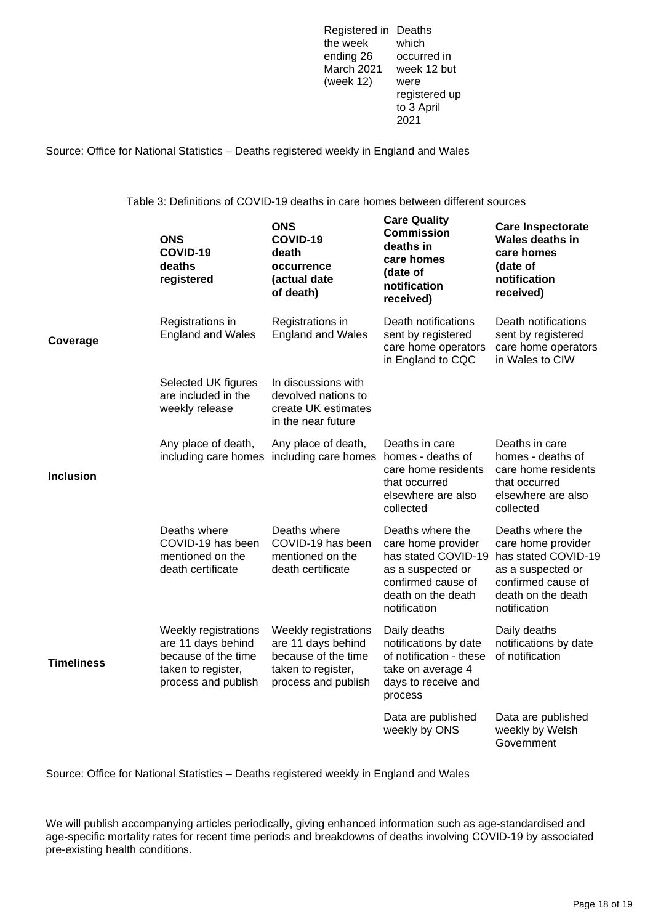Registered in Deaths the week ending 26 March 2021 week 12 but (week 12) which occurred in were registered up to 3 April 2021

Source: Office for National Statistics – Deaths registered weekly in England and Wales

Table 3: Definitions of COVID-19 deaths in care homes between different sources

|                   | <b>ONS</b><br>COVID-19<br>deaths<br>registered                                                                 | <b>ONS</b><br>COVID-19<br>death<br>occurrence<br>(actual date<br>of death)                                     | <b>Care Quality</b><br><b>Commission</b><br>deaths in<br>care homes<br>(date of<br>notification<br>received)                                   | <b>Care Inspectorate</b><br><b>Wales deaths in</b><br>care homes<br>(date of<br>notification<br>received)                                      |
|-------------------|----------------------------------------------------------------------------------------------------------------|----------------------------------------------------------------------------------------------------------------|------------------------------------------------------------------------------------------------------------------------------------------------|------------------------------------------------------------------------------------------------------------------------------------------------|
| Coverage          | Registrations in<br><b>England and Wales</b>                                                                   | Registrations in<br><b>England and Wales</b>                                                                   | Death notifications<br>sent by registered<br>care home operators<br>in England to CQC                                                          | Death notifications<br>sent by registered<br>care home operators<br>in Wales to CIW                                                            |
|                   | Selected UK figures<br>are included in the<br>weekly release                                                   | In discussions with<br>devolved nations to<br>create UK estimates<br>in the near future                        |                                                                                                                                                |                                                                                                                                                |
| Inclusion         | Any place of death,                                                                                            | Any place of death,<br>including care homes including care homes homes - deaths of                             | Deaths in care<br>care home residents<br>that occurred<br>elsewhere are also<br>collected                                                      | Deaths in care<br>homes - deaths of<br>care home residents<br>that occurred<br>elsewhere are also<br>collected                                 |
|                   | Deaths where<br>COVID-19 has been<br>mentioned on the<br>death certificate                                     | Deaths where<br>COVID-19 has been<br>mentioned on the<br>death certificate                                     | Deaths where the<br>care home provider<br>has stated COVID-19<br>as a suspected or<br>confirmed cause of<br>death on the death<br>notification | Deaths where the<br>care home provider<br>has stated COVID-19<br>as a suspected or<br>confirmed cause of<br>death on the death<br>notification |
| <b>Timeliness</b> | Weekly registrations<br>are 11 days behind<br>because of the time<br>taken to register,<br>process and publish | Weekly registrations<br>are 11 days behind<br>because of the time<br>taken to register,<br>process and publish | Daily deaths<br>notifications by date<br>of notification - these<br>take on average 4<br>days to receive and<br>process                        | Daily deaths<br>notifications by date<br>of notification                                                                                       |
|                   |                                                                                                                |                                                                                                                | Data are published<br>weekly by ONS                                                                                                            | Data are published<br>weekly by Welsh<br>Government                                                                                            |

Source: Office for National Statistics – Deaths registered weekly in England and Wales

We will publish accompanying articles periodically, giving enhanced information such as age-standardised and age-specific mortality rates for recent time periods and breakdowns of deaths involving COVID-19 by associated pre-existing health conditions.